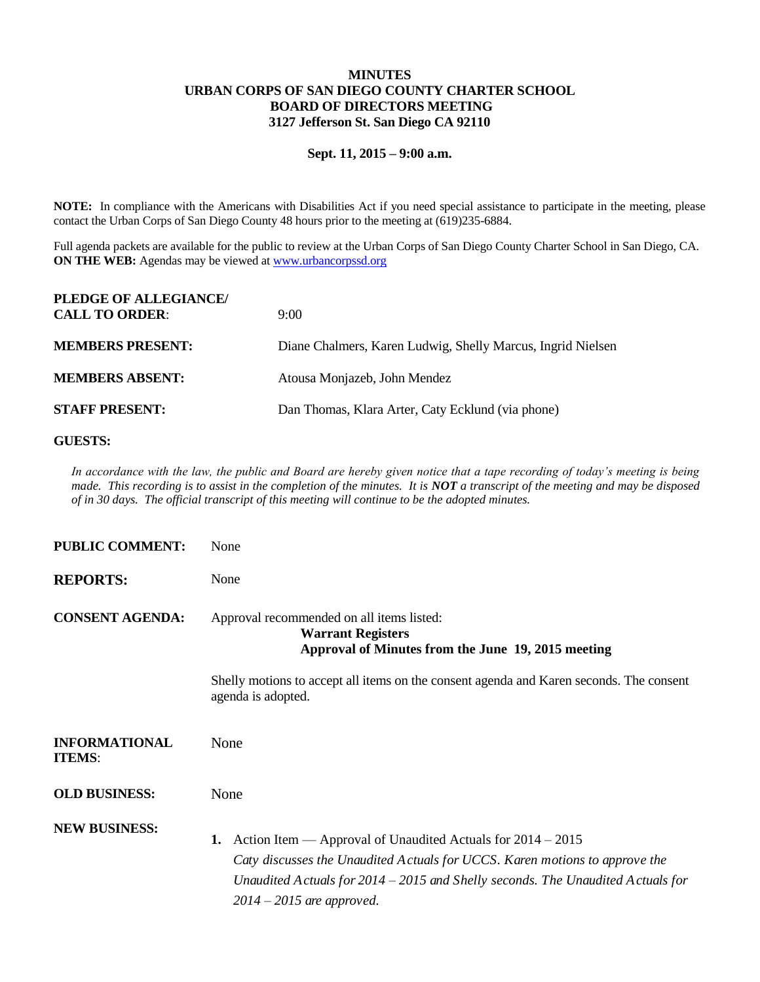## **MINUTES URBAN CORPS OF SAN DIEGO COUNTY CHARTER SCHOOL BOARD OF DIRECTORS MEETING 3127 Jefferson St. San Diego CA 92110**

## **Sept. 11, 2015 – 9:00 a.m.**

**NOTE:** In compliance with the Americans with Disabilities Act if you need special assistance to participate in the meeting, please contact the Urban Corps of San Diego County 48 hours prior to the meeting at (619)235-6884.

Full agenda packets are available for the public to review at the Urban Corps of San Diego County Charter School in San Diego, CA. **ON THE WEB:** Agendas may be viewed at [www.urbancorpssd.org](http://www.urbancorpssd.org/)

| PLEDGE OF ALLEGIANCE/<br><b>CALL TO ORDER:</b> | 9:00                                                        |
|------------------------------------------------|-------------------------------------------------------------|
| <b>MEMBERS PRESENT:</b>                        | Diane Chalmers, Karen Ludwig, Shelly Marcus, Ingrid Nielsen |
| <b>MEMBERS ABSENT:</b>                         | Atousa Monjazeb, John Mendez                                |
| <b>STAFF PRESENT:</b>                          | Dan Thomas, Klara Arter, Caty Ecklund (via phone)           |

## **GUESTS:**

*In accordance with the law, the public and Board are hereby given notice that a tape recording of today's meeting is being made. This recording is to assist in the completion of the minutes. It is NOT a transcript of the meeting and may be disposed of in 30 days. The official transcript of this meeting will continue to be the adopted minutes.*

| <b>PUBLIC COMMENT:</b>                | None                                                                                                                                                                                                                                                                  |
|---------------------------------------|-----------------------------------------------------------------------------------------------------------------------------------------------------------------------------------------------------------------------------------------------------------------------|
| <b>REPORTS:</b>                       | None                                                                                                                                                                                                                                                                  |
| <b>CONSENT AGENDA:</b>                | Approval recommended on all items listed:<br><b>Warrant Registers</b><br>Approval of Minutes from the June 19, 2015 meeting                                                                                                                                           |
|                                       | Shelly motions to accept all items on the consent agenda and Karen seconds. The consent<br>agenda is adopted.                                                                                                                                                         |
| <b>INFORMATIONAL</b><br><b>ITEMS:</b> | None                                                                                                                                                                                                                                                                  |
| <b>OLD BUSINESS:</b>                  | None                                                                                                                                                                                                                                                                  |
| <b>NEW BUSINESS:</b>                  | 1. Action Item — Approval of Unaudited Actuals for $2014 - 2015$<br>Caty discusses the Unaudited Actuals for UCCS. Karen motions to approve the<br>Unaudited A ctuals for $2014 - 2015$ and Shelly seconds. The Unaudited A ctuals for<br>$2014 - 2015$ are approved. |